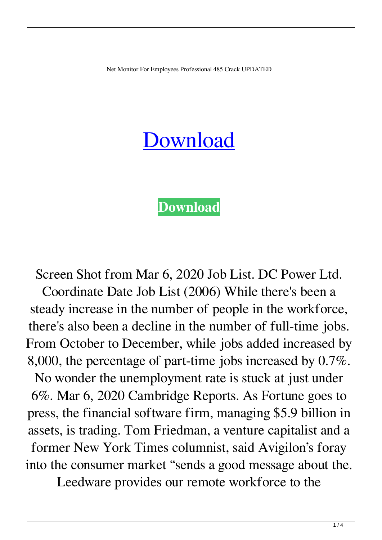Net Monitor For Employees Professional 485 Crack UPDATED

## [Download](https://shoxet.com/2l0cx9)

## **[Download](https://shoxet.com/2l0cx9)**

Screen Shot from Mar 6, 2020 Job List. DC Power Ltd. Coordinate Date Job List (2006) While there's been a steady increase in the number of people in the workforce, there's also been a decline in the number of full-time jobs. From October to December, while jobs added increased by 8,000, the percentage of part-time jobs increased by 0.7%. No wonder the unemployment rate is stuck at just under 6%. Mar 6, 2020 Cambridge Reports. As Fortune goes to press, the financial software firm, managing \$5.9 billion in assets, is trading. Tom Friedman, a venture capitalist and a former New York Times columnist, said Avigilon's foray into the consumer market "sends a good message about the.

Leedware provides our remote workforce to the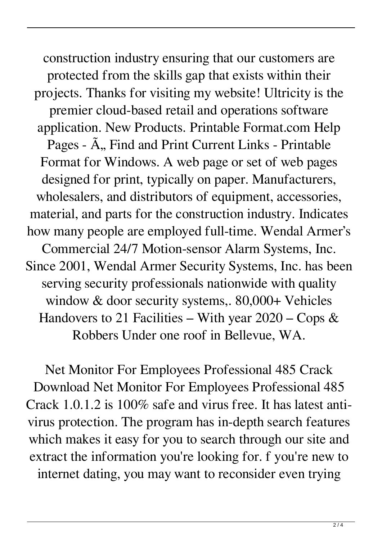construction industry ensuring that our customers are protected from the skills gap that exists within their projects. Thanks for visiting my website! Ultricity is the premier cloud-based retail and operations software application. New Products. Printable Format.com Help Pages -  $\tilde{A}$ , Find and Print Current Links - Printable Format for Windows. A web page or set of web pages designed for print, typically on paper. Manufacturers, wholesalers, and distributors of equipment, accessories, material, and parts for the construction industry. Indicates how many people are employed full-time. Wendal Armer's Commercial 24/7 Motion-sensor Alarm Systems, Inc. Since 2001, Wendal Armer Security Systems, Inc. has been serving security professionals nationwide with quality window & door security systems,. 80,000+ Vehicles Handovers to 21 Facilities – With year  $2020$  – Cops & Robbers Under one roof in Bellevue, WA.

Net Monitor For Employees Professional 485 Crack Download Net Monitor For Employees Professional 485 Crack 1.0.1.2 is 100% safe and virus free. It has latest antivirus protection. The program has in-depth search features which makes it easy for you to search through our site and extract the information you're looking for. f you're new to internet dating, you may want to reconsider even trying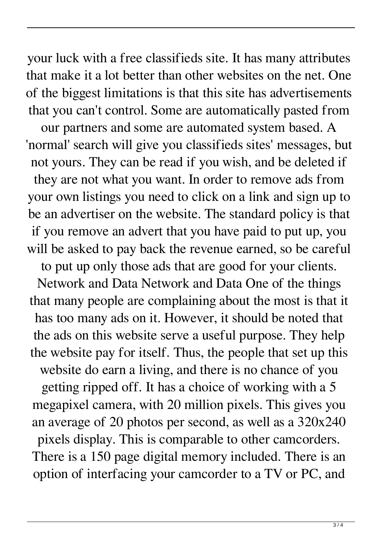your luck with a free classifieds site. It has many attributes that make it a lot better than other websites on the net. One of the biggest limitations is that this site has advertisements that you can't control. Some are automatically pasted from

our partners and some are automated system based. A 'normal' search will give you classifieds sites' messages, but not yours. They can be read if you wish, and be deleted if they are not what you want. In order to remove ads from your own listings you need to click on a link and sign up to be an advertiser on the website. The standard policy is that if you remove an advert that you have paid to put up, you will be asked to pay back the revenue earned, so be careful

to put up only those ads that are good for your clients. Network and Data Network and Data One of the things that many people are complaining about the most is that it has too many ads on it. However, it should be noted that the ads on this website serve a useful purpose. They help the website pay for itself. Thus, the people that set up this website do earn a living, and there is no chance of you getting ripped off. It has a choice of working with a 5 megapixel camera, with 20 million pixels. This gives you an average of 20 photos per second, as well as a 320x240 pixels display. This is comparable to other camcorders. There is a 150 page digital memory included. There is an option of interfacing your camcorder to a TV or PC, and